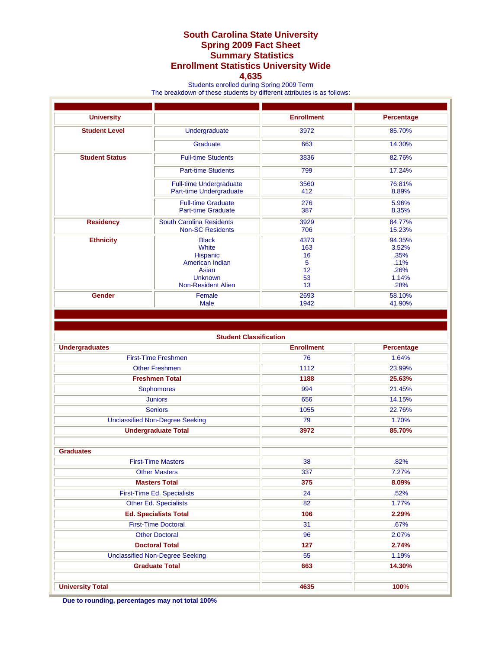## **South Carolina State University Spring 2009 Fact Sheet Summary Statistics Enrollment Statistics University Wide**

## **4,635**

Students enrolled during Spring 2009 Term

The breakdown of these students by different attributes is as follows:

| <b>University</b>     |                                                                                                              | <b>Enrollment</b>                                                                                    | Percentage      |
|-----------------------|--------------------------------------------------------------------------------------------------------------|------------------------------------------------------------------------------------------------------|-----------------|
| <b>Student Level</b>  | Undergraduate                                                                                                | 3972                                                                                                 | 85.70%          |
|                       | Graduate                                                                                                     | 663                                                                                                  | 14.30%          |
| <b>Student Status</b> | <b>Full-time Students</b>                                                                                    | 3836                                                                                                 | 82.76%          |
|                       | <b>Part-time Students</b>                                                                                    | 799                                                                                                  | 17.24%          |
|                       | <b>Full-time Undergraduate</b><br>Part-time Undergraduate                                                    | 3560<br>412                                                                                          | 76.81%<br>8.89% |
|                       | <b>Full-time Graduate</b><br><b>Part-time Graduate</b>                                                       | 276<br>387                                                                                           | 5.96%<br>8.35%  |
| <b>Residency</b>      | <b>South Carolina Residents</b><br><b>Non-SC Residents</b>                                                   | 3929<br>84.77%<br>706<br>15.23%                                                                      |                 |
| <b>Ethnicity</b>      | <b>Black</b><br>White<br>Hispanic<br>American Indian<br>Asian<br><b>Unknown</b><br><b>Non-Resident Alien</b> | 94.35%<br>4373<br>163<br>3.52%<br>16<br>.35%<br>5<br>.11%<br>12<br>.26%<br>53<br>1.14%<br>13<br>.28% |                 |
| Gender                | Female<br>Male                                                                                               | 2693<br>58.10%<br>1942<br>41.90%                                                                     |                 |

| <b>Student Classification</b>          |                   |                   |  |  |  |
|----------------------------------------|-------------------|-------------------|--|--|--|
| <b>Undergraduates</b>                  | <b>Enrollment</b> | <b>Percentage</b> |  |  |  |
| <b>First-Time Freshmen</b>             | 76                | 1.64%             |  |  |  |
| <b>Other Freshmen</b>                  | 1112              | 23.99%            |  |  |  |
| <b>Freshmen Total</b>                  | 1188              | 25.63%            |  |  |  |
| <b>Sophomores</b>                      | 994               | 21.45%            |  |  |  |
| <b>Juniors</b>                         | 656               | 14.15%            |  |  |  |
| <b>Seniors</b>                         | 1055              | 22.76%            |  |  |  |
| <b>Unclassified Non-Degree Seeking</b> | 79                | 1.70%             |  |  |  |
| <b>Undergraduate Total</b>             | 3972              | 85.70%            |  |  |  |
|                                        |                   |                   |  |  |  |
| <b>Graduates</b>                       |                   |                   |  |  |  |
| <b>First-Time Masters</b>              | 38                | .82%              |  |  |  |
| <b>Other Masters</b>                   | 337               | 7.27%             |  |  |  |
| <b>Masters Total</b>                   | 375               | 8.09%             |  |  |  |
| First-Time Ed. Specialists             | 24                | .52%              |  |  |  |
| Other Ed. Specialists                  | 82                | 1.77%             |  |  |  |
| <b>Ed. Specialists Total</b>           | 106               | 2.29%             |  |  |  |
| <b>First-Time Doctoral</b>             | 31                | .67%              |  |  |  |
| <b>Other Doctoral</b>                  | 96                | 2.07%             |  |  |  |
| <b>Doctoral Total</b>                  | 127               | 2.74%             |  |  |  |
| <b>Unclassified Non-Degree Seeking</b> | 55                | 1.19%             |  |  |  |
| <b>Graduate Total</b>                  | 663               | 14.30%            |  |  |  |
|                                        |                   |                   |  |  |  |
| <b>University Total</b>                | 4635              | 100%              |  |  |  |

**Due to rounding, percentages may not total 100%**